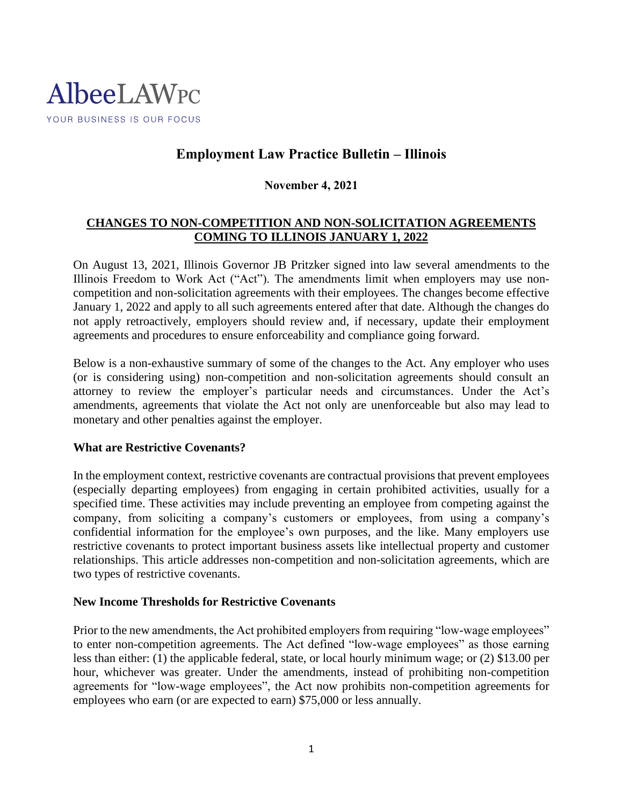

# **Employment Law Practice Bulletin – Illinois**

## **November 4, 2021**

# **CHANGES TO NON-COMPETITION AND NON-SOLICITATION AGREEMENTS COMING TO ILLINOIS JANUARY 1, 2022**

On August 13, 2021, Illinois Governor JB Pritzker signed into law several amendments to the Illinois Freedom to Work Act ("Act"). The amendments limit when employers may use noncompetition and non-solicitation agreements with their employees. The changes become effective January 1, 2022 and apply to all such agreements entered after that date. Although the changes do not apply retroactively, employers should review and, if necessary, update their employment agreements and procedures to ensure enforceability and compliance going forward.

Below is a non-exhaustive summary of some of the changes to the Act. Any employer who uses (or is considering using) non-competition and non-solicitation agreements should consult an attorney to review the employer's particular needs and circumstances. Under the Act's amendments, agreements that violate the Act not only are unenforceable but also may lead to monetary and other penalties against the employer.

#### **What are Restrictive Covenants?**

In the employment context, restrictive covenants are contractual provisions that prevent employees (especially departing employees) from engaging in certain prohibited activities, usually for a specified time. These activities may include preventing an employee from competing against the company, from soliciting a company's customers or employees, from using a company's confidential information for the employee's own purposes, and the like. Many employers use restrictive covenants to protect important business assets like intellectual property and customer relationships. This article addresses non-competition and non-solicitation agreements, which are two types of restrictive covenants.

#### **New Income Thresholds for Restrictive Covenants**

Prior to the new amendments, the Act prohibited employers from requiring "low-wage employees" to enter non-competition agreements. The Act defined "low-wage employees" as those earning less than either: (1) the applicable federal, state, or local hourly minimum wage; or (2) \$13.00 per hour, whichever was greater. Under the amendments, instead of prohibiting non-competition agreements for "low-wage employees", the Act now prohibits non-competition agreements for employees who earn (or are expected to earn) \$75,000 or less annually.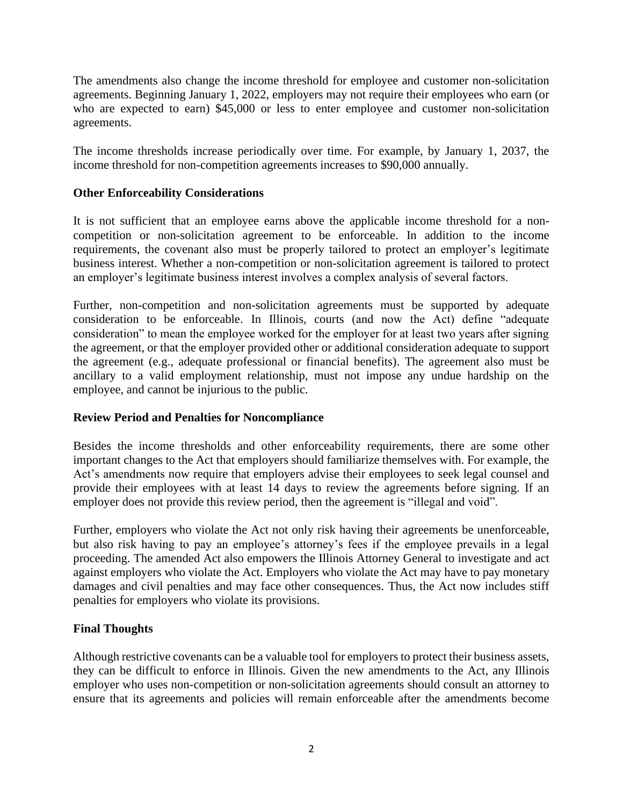The amendments also change the income threshold for employee and customer non-solicitation agreements. Beginning January 1, 2022, employers may not require their employees who earn (or who are expected to earn) \$45,000 or less to enter employee and customer non-solicitation agreements.

The income thresholds increase periodically over time. For example, by January 1, 2037, the income threshold for non-competition agreements increases to \$90,000 annually.

## **Other Enforceability Considerations**

It is not sufficient that an employee earns above the applicable income threshold for a noncompetition or non-solicitation agreement to be enforceable. In addition to the income requirements, the covenant also must be properly tailored to protect an employer's legitimate business interest. Whether a non-competition or non-solicitation agreement is tailored to protect an employer's legitimate business interest involves a complex analysis of several factors.

Further, non-competition and non-solicitation agreements must be supported by adequate consideration to be enforceable. In Illinois, courts (and now the Act) define "adequate consideration" to mean the employee worked for the employer for at least two years after signing the agreement, or that the employer provided other or additional consideration adequate to support the agreement (e.g., adequate professional or financial benefits). The agreement also must be ancillary to a valid employment relationship, must not impose any undue hardship on the employee, and cannot be injurious to the public.

#### **Review Period and Penalties for Noncompliance**

Besides the income thresholds and other enforceability requirements, there are some other important changes to the Act that employers should familiarize themselves with. For example, the Act's amendments now require that employers advise their employees to seek legal counsel and provide their employees with at least 14 days to review the agreements before signing. If an employer does not provide this review period, then the agreement is "illegal and void".

Further, employers who violate the Act not only risk having their agreements be unenforceable, but also risk having to pay an employee's attorney's fees if the employee prevails in a legal proceeding. The amended Act also empowers the Illinois Attorney General to investigate and act against employers who violate the Act. Employers who violate the Act may have to pay monetary damages and civil penalties and may face other consequences. Thus, the Act now includes stiff penalties for employers who violate its provisions.

## **Final Thoughts**

Although restrictive covenants can be a valuable tool for employers to protect their business assets, they can be difficult to enforce in Illinois. Given the new amendments to the Act, any Illinois employer who uses non-competition or non-solicitation agreements should consult an attorney to ensure that its agreements and policies will remain enforceable after the amendments become